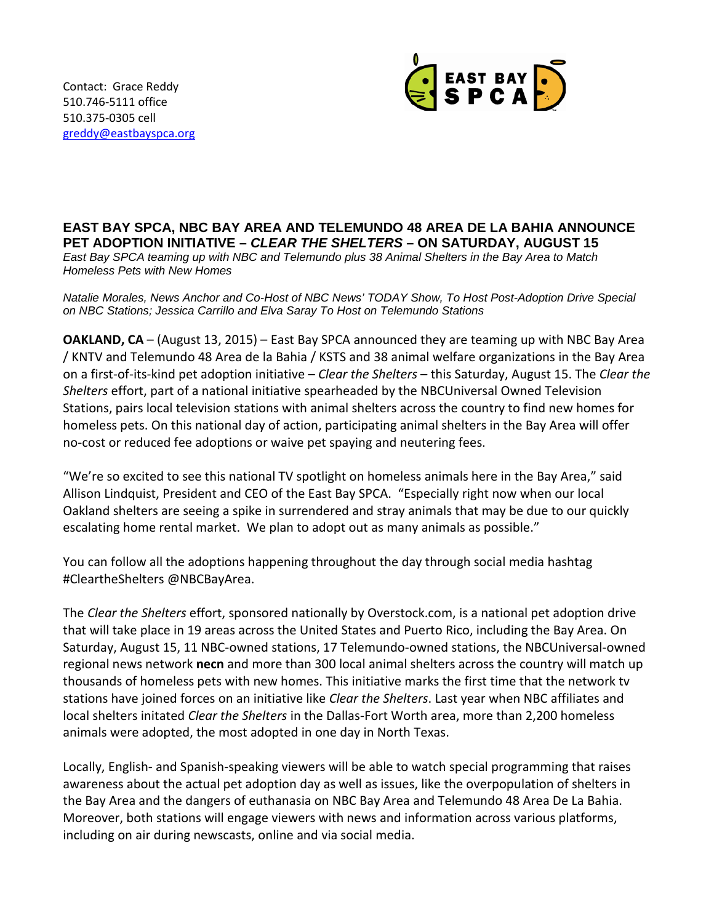Contact: Grace Reddy 510.746-5111 office 510.375-0305 cell [greddy@eastbayspca.org](mailto:greddy@eastbayspca.org)



## **EAST BAY SPCA, NBC BAY AREA AND TELEMUNDO 48 AREA DE LA BAHIA ANNOUNCE PET ADOPTION INITIATIVE –** *CLEAR THE SHELTERS* **– ON SATURDAY, AUGUST 15**  *East Bay SPCA teaming up with NBC and Telemundo plus 38 Animal Shelters in the Bay Area to Match Homeless Pets with New Homes*

*Natalie Morales, News Anchor and Co-Host of NBC News' TODAY Show, To Host Post-Adoption Drive Special on NBC Stations; Jessica Carrillo and Elva Saray To Host on Telemundo Stations* 

**OAKLAND, CA** – (August 13, 2015) – East Bay SPCA announced they are teaming up with NBC Bay Area / KNTV and Telemundo 48 Area de la Bahia / KSTS and 38 animal welfare organizations in the Bay Area on a first-of-its-kind pet adoption initiative – *Clear the Shelters* – this Saturday, August 15. The *Clear the Shelters* effort, part of a national initiative spearheaded by the NBCUniversal Owned Television Stations, pairs local television stations with animal shelters across the country to find new homes for homeless pets. On this national day of action, participating animal shelters in the Bay Area will offer no-cost or reduced fee adoptions or waive pet spaying and neutering fees.

"We're so excited to see this national TV spotlight on homeless animals here in the Bay Area," said Allison Lindquist, President and CEO of the East Bay SPCA. "Especially right now when our local Oakland shelters are seeing a spike in surrendered and stray animals that may be due to our quickly escalating home rental market. We plan to adopt out as many animals as possible."

You can follow all the adoptions happening throughout the day through social media hashtag #CleartheShelters @NBCBayArea.

The *Clear the Shelters* effort, sponsored nationally by Overstock.com, is a national pet adoption drive that will take place in 19 areas across the United States and Puerto Rico, including the Bay Area. On Saturday, August 15, 11 NBC-owned stations, 17 Telemundo-owned stations, the NBCUniversal-owned regional news network **necn** and more than 300 local animal shelters across the country will match up thousands of homeless pets with new homes. This initiative marks the first time that the network tv stations have joined forces on an initiative like *Clear the Shelters*. Last year when NBC affiliates and local shelters initated *Clear the Shelters* in the Dallas-Fort Worth area, more than 2,200 homeless animals were adopted, the most adopted in one day in North Texas.

Locally, English- and Spanish-speaking viewers will be able to watch special programming that raises awareness about the actual pet adoption day as well as issues, like the overpopulation of shelters in the Bay Area and the dangers of euthanasia on NBC Bay Area and Telemundo 48 Area De La Bahia. Moreover, both stations will engage viewers with news and information across various platforms, including on air during newscasts, online and via social media.